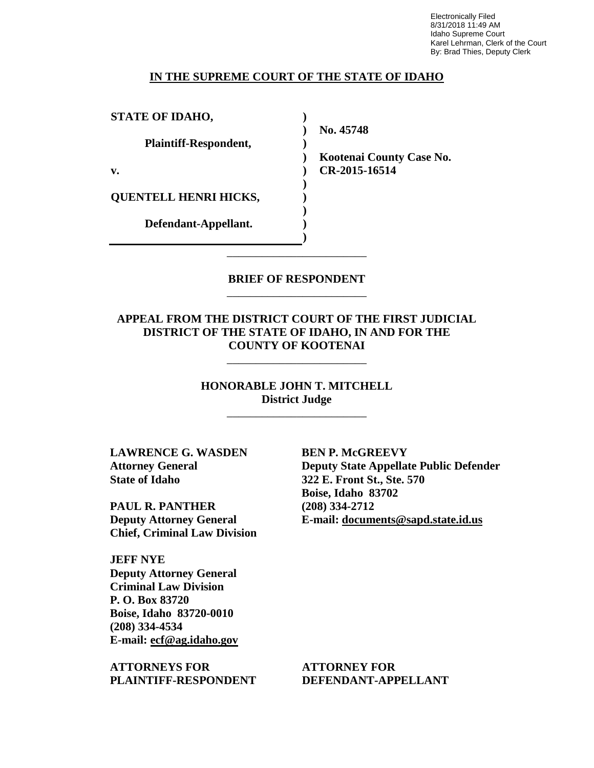Electronically Filed 8/31/2018 11:49 AM Idaho Supreme Court Karel Lehrman, Clerk of the Court By: Brad Thies, Deputy Clerk

### **IN THE SUPREME COURT OF THE STATE OF IDAHO**

**) ) ) ) ) ) ) ) ) )**

**STATE OF IDAHO,**

**Plaintiff-Respondent,**

**v.** 

**QUENTELL HENRI HICKS,** 

**Defendant-Appellant.**

**No. 45748** 

**Kootenai County Case No. CR-2015-16514** 

### **BRIEF OF RESPONDENT** \_\_\_\_\_\_\_\_\_\_\_\_\_\_\_\_\_\_\_\_\_\_\_\_

\_\_\_\_\_\_\_\_\_\_\_\_\_\_\_\_\_\_\_\_\_\_\_\_

**APPEAL FROM THE DISTRICT COURT OF THE FIRST JUDICIAL DISTRICT OF THE STATE OF IDAHO, IN AND FOR THE COUNTY OF KOOTENAI**

\_\_\_\_\_\_\_\_\_\_\_\_\_\_\_\_\_\_\_\_\_\_\_\_

**HONORABLE JOHN T. MITCHELL District Judge**

\_\_\_\_\_\_\_\_\_\_\_\_\_\_\_\_\_\_\_\_\_\_\_\_

**LAWRENCE G. WASDEN Attorney General State of Idaho**

**PAUL R. PANTHER Deputy Attorney General Chief, Criminal Law Division**

**JEFF NYE Deputy Attorney General Criminal Law Division P. O. Box 83720 Boise, Idaho 83720-0010 (208) 334-4534 E-mail: ecf@ag.idaho.gov** 

**ATTORNEYS FOR PLAINTIFF-RESPONDENT** **BEN P. McGREEVY Deputy State Appellate Public Defender 322 E. Front St., Ste. 570 Boise, Idaho 83702 (208) 334-2712 E-mail: documents@sapd.state.id.us** 

**ATTORNEY FOR DEFENDANT-APPELLANT**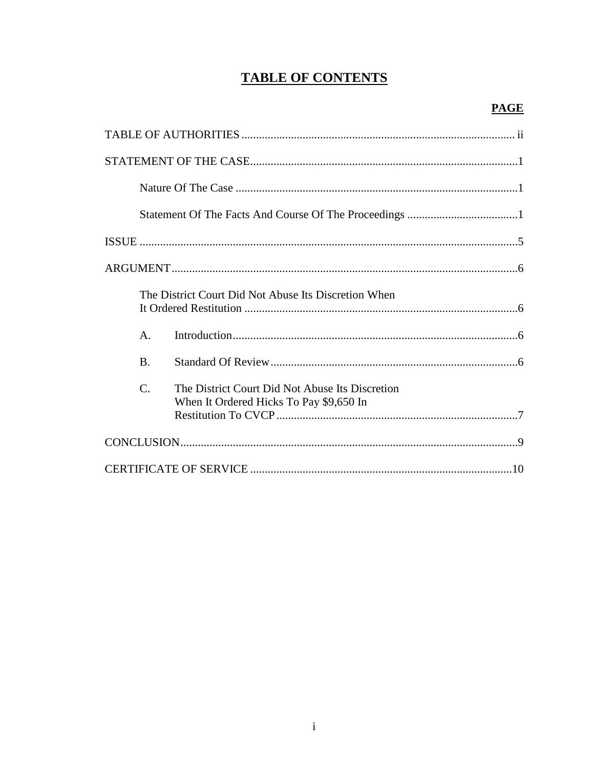# **TABLE OF CONTENTS**

|                 | The District Court Did Not Abuse Its Discretion When                                       |
|-----------------|--------------------------------------------------------------------------------------------|
| $\mathsf{A}$ .  |                                                                                            |
| $\mathbf{B}$    |                                                                                            |
| $\mathcal{C}$ . | The District Court Did Not Abuse Its Discretion<br>When It Ordered Hicks To Pay \$9,650 In |
|                 |                                                                                            |
|                 |                                                                                            |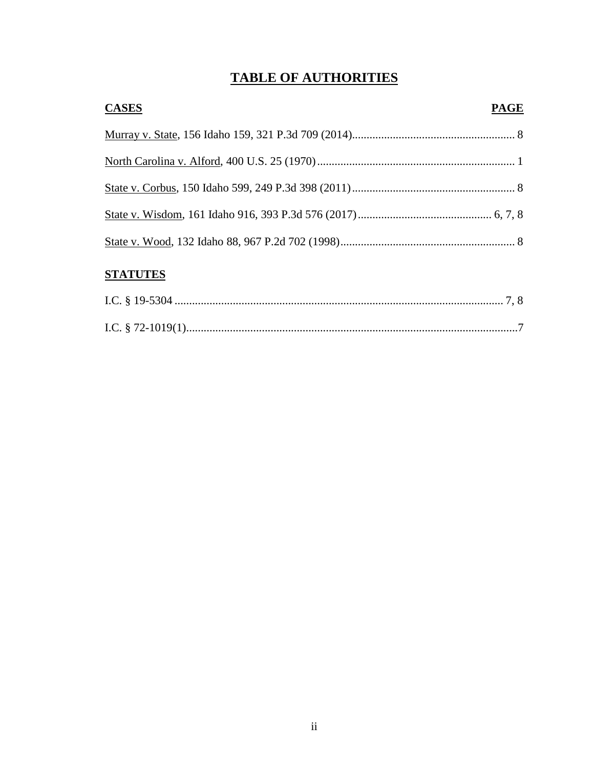# **TABLE OF AUTHORITIES**

| <b>CASES</b>                                                                                                                                                                                                                                                                                                                                                                | <b>PAGE</b> |
|-----------------------------------------------------------------------------------------------------------------------------------------------------------------------------------------------------------------------------------------------------------------------------------------------------------------------------------------------------------------------------|-------------|
|                                                                                                                                                                                                                                                                                                                                                                             |             |
|                                                                                                                                                                                                                                                                                                                                                                             |             |
|                                                                                                                                                                                                                                                                                                                                                                             |             |
|                                                                                                                                                                                                                                                                                                                                                                             |             |
|                                                                                                                                                                                                                                                                                                                                                                             |             |
| $C$ $\overline{C}$ $\overline{C}$ $\overline{C}$ $\overline{C}$ $\overline{C}$ $\overline{C}$ $\overline{C}$ $\overline{C}$ $\overline{C}$ $\overline{C}$ $\overline{C}$ $\overline{C}$ $\overline{C}$ $\overline{C}$ $\overline{C}$ $\overline{C}$ $\overline{C}$ $\overline{C}$ $\overline{C}$ $\overline{C}$ $\overline{C}$ $\overline{C}$ $\overline{C}$ $\overline{C}$ |             |

# **STATUTES**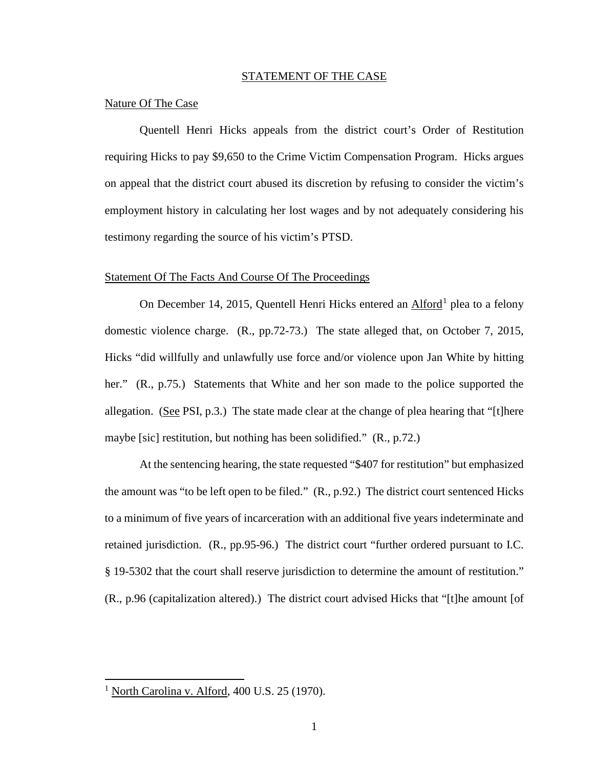### STATEMENT OF THE CASE

### Nature Of The Case

Quentell Henri Hicks appeals from the district court's Order of Restitution requiring Hicks to pay \$9,650 to the Crime Victim Compensation Program. Hicks argues on appeal that the district court abused its discretion by refusing to consider the victim's employment history in calculating her lost wages and by not adequately considering his testimony regarding the source of his victim's PTSD.

### Statement Of The Facts And Course Of The Proceedings

On December 14, 2015, Quentell Henri Hicks entered an Alford<sup>1</sup> plea to a felony domestic violence charge. (R., pp.72-73.) The state alleged that, on October 7, 2015, Hicks "did willfully and unlawfully use force and/or violence upon Jan White by hitting her." (R., p.75.) Statements that White and her son made to the police supported the allegation. (See PSI, p.3.) The state made clear at the change of plea hearing that "[t]here maybe [sic] restitution, but nothing has been solidified." (R., p.72.)

At the sentencing hearing, the state requested "\$407 for restitution" but emphasized the amount was "to be left open to be filed." (R., p.92.) The district court sentenced Hicks to a minimum of five years of incarceration with an additional five years indeterminate and retained jurisdiction. (R., pp.95-96.) The district court "further ordered pursuant to I.C. § 19-5302 that the court shall reserve jurisdiction to determine the amount of restitution." (R., p.96 (capitalization altered).) The district court advised Hicks that "[t]he amount [of

 1 North Carolina v. Alford, 400 U.S. 25 (1970).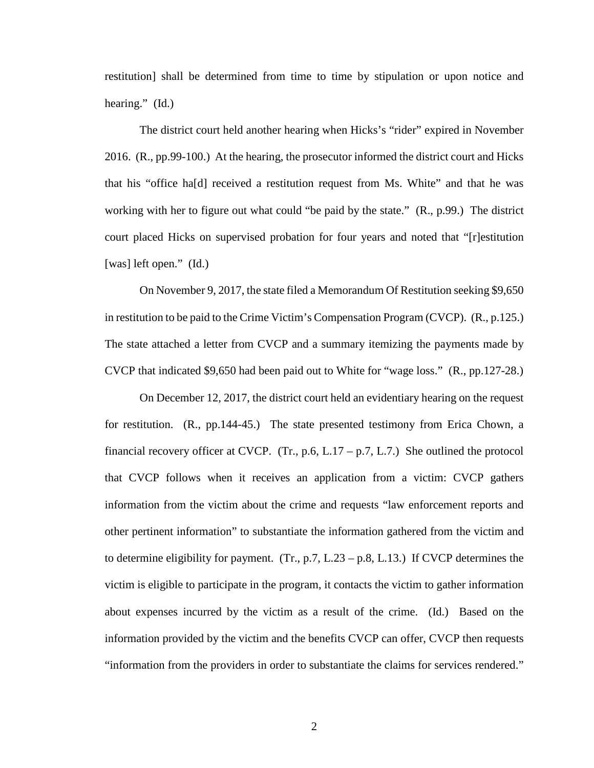restitution] shall be determined from time to time by stipulation or upon notice and hearing." (Id.)

The district court held another hearing when Hicks's "rider" expired in November 2016. (R., pp.99-100.) At the hearing, the prosecutor informed the district court and Hicks that his "office ha[d] received a restitution request from Ms. White" and that he was working with her to figure out what could "be paid by the state." (R., p.99.) The district court placed Hicks on supervised probation for four years and noted that "[r]estitution [was] left open." (Id.)

On November 9, 2017, the state filed a Memorandum Of Restitution seeking \$9,650 in restitution to be paid to the Crime Victim's Compensation Program (CVCP). (R., p.125.) The state attached a letter from CVCP and a summary itemizing the payments made by CVCP that indicated \$9,650 had been paid out to White for "wage loss." (R., pp.127-28.)

On December 12, 2017, the district court held an evidentiary hearing on the request for restitution. (R., pp.144-45.) The state presented testimony from Erica Chown, a financial recovery officer at CVCP. (Tr., p.6, L.17 – p.7, L.7.) She outlined the protocol that CVCP follows when it receives an application from a victim: CVCP gathers information from the victim about the crime and requests "law enforcement reports and other pertinent information" to substantiate the information gathered from the victim and to determine eligibility for payment.  $(Tr, p.7, L.23 - p.8, L.13.)$  If CVCP determines the victim is eligible to participate in the program, it contacts the victim to gather information about expenses incurred by the victim as a result of the crime. (Id.) Based on the information provided by the victim and the benefits CVCP can offer, CVCP then requests "information from the providers in order to substantiate the claims for services rendered."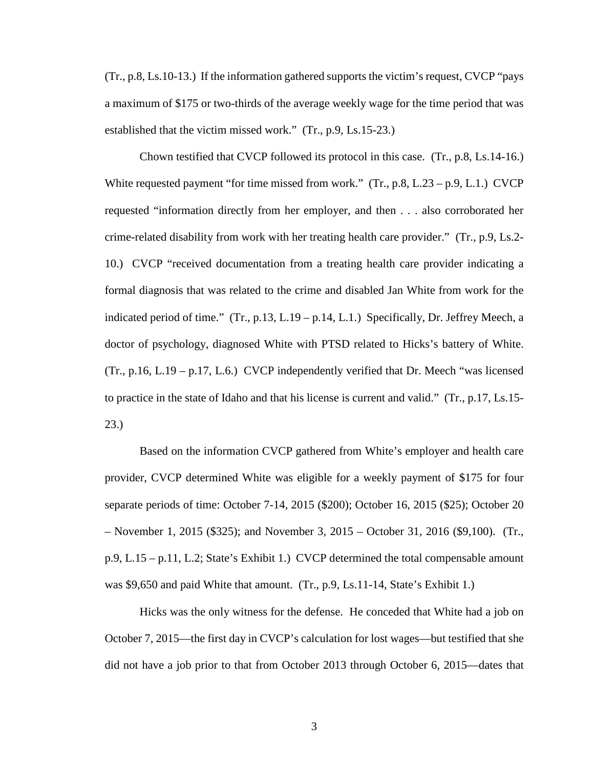(Tr., p.8, Ls.10-13.) If the information gathered supports the victim's request, CVCP "pays a maximum of \$175 or two-thirds of the average weekly wage for the time period that was established that the victim missed work." (Tr., p.9, Ls.15-23.)

Chown testified that CVCP followed its protocol in this case. (Tr., p.8, Ls.14-16.) White requested payment "for time missed from work." (Tr., p.8, L.23 – p.9, L.1.) CVCP requested "information directly from her employer, and then . . . also corroborated her crime-related disability from work with her treating health care provider." (Tr., p.9, Ls.2- 10.) CVCP "received documentation from a treating health care provider indicating a formal diagnosis that was related to the crime and disabled Jan White from work for the indicated period of time." (Tr., p.13, L.19 – p.14, L.1.) Specifically, Dr. Jeffrey Meech, a doctor of psychology, diagnosed White with PTSD related to Hicks's battery of White.  $(Tr, p.16, L.19 - p.17, L.6.)$  CVCP independently verified that Dr. Meech "was licensed" to practice in the state of Idaho and that his license is current and valid." (Tr., p.17, Ls.15- 23.)

Based on the information CVCP gathered from White's employer and health care provider, CVCP determined White was eligible for a weekly payment of \$175 for four separate periods of time: October 7-14, 2015 (\$200); October 16, 2015 (\$25); October 20 – November 1, 2015 (\$325); and November 3, 2015 – October 31, 2016 (\$9,100). (Tr., p.9, L.15 – p.11, L.2; State's Exhibit 1.) CVCP determined the total compensable amount was \$9,650 and paid White that amount. (Tr., p.9, Ls.11-14, State's Exhibit 1.)

Hicks was the only witness for the defense. He conceded that White had a job on October 7, 2015—the first day in CVCP's calculation for lost wages—but testified that she did not have a job prior to that from October 2013 through October 6, 2015—dates that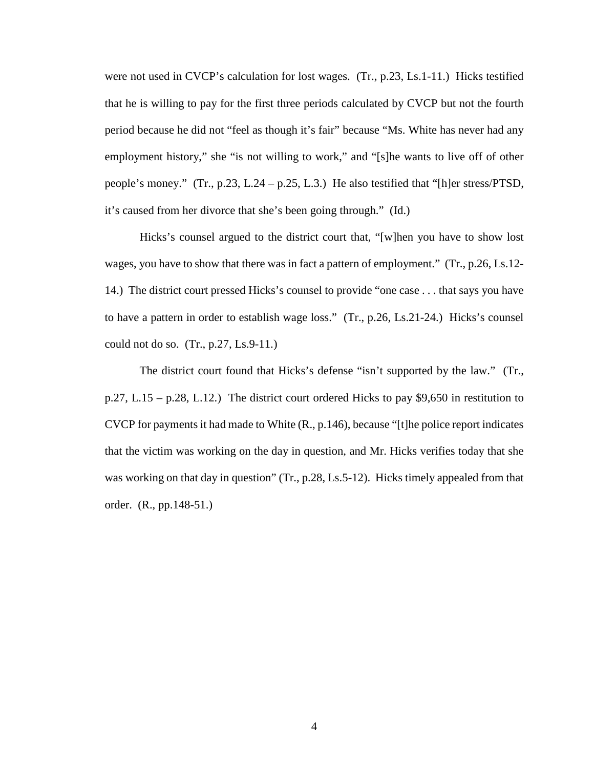were not used in CVCP's calculation for lost wages. (Tr., p.23, Ls.1-11.) Hicks testified that he is willing to pay for the first three periods calculated by CVCP but not the fourth period because he did not "feel as though it's fair" because "Ms. White has never had any employment history," she "is not willing to work," and "[s]he wants to live off of other people's money." (Tr., p.23, L.24 – p.25, L.3.) He also testified that "[h]er stress/PTSD, it's caused from her divorce that she's been going through." (Id.)

Hicks's counsel argued to the district court that, "[w]hen you have to show lost wages, you have to show that there was in fact a pattern of employment." (Tr., p.26, Ls.12- 14.) The district court pressed Hicks's counsel to provide "one case . . . that says you have to have a pattern in order to establish wage loss." (Tr., p.26, Ls.21-24.) Hicks's counsel could not do so.  $(Tr., p.27, Ls.9-11.)$ 

The district court found that Hicks's defense "isn't supported by the law." (Tr., p.27, L.15 – p.28, L.12.) The district court ordered Hicks to pay \$9,650 in restitution to CVCP for payments it had made to White (R., p.146), because "[t]he police report indicates that the victim was working on the day in question, and Mr. Hicks verifies today that she was working on that day in question" (Tr., p.28, Ls. 5-12). Hicks timely appealed from that order. (R., pp.148-51.)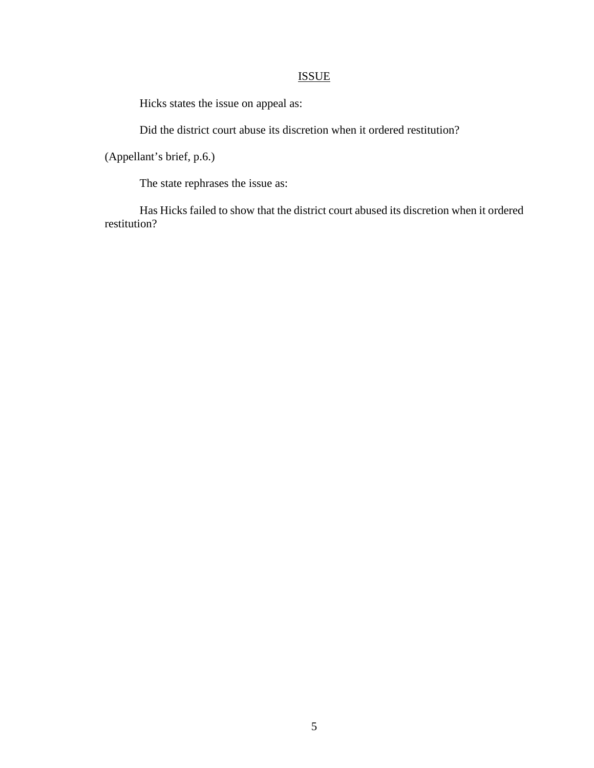# ISSUE

Hicks states the issue on appeal as:

Did the district court abuse its discretion when it ordered restitution?

(Appellant's brief, p.6.)

The state rephrases the issue as:

Has Hicks failed to show that the district court abused its discretion when it ordered restitution?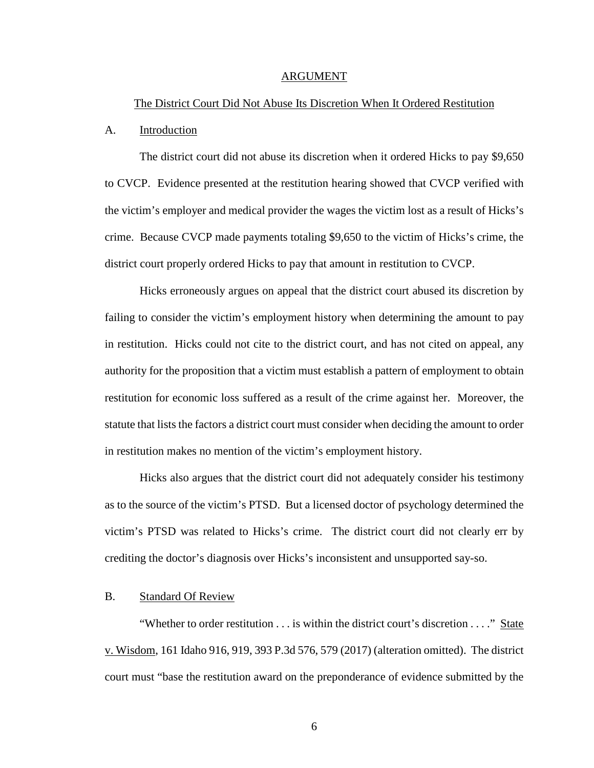#### ARGUMENT

### The District Court Did Not Abuse Its Discretion When It Ordered Restitution

#### A. Introduction

The district court did not abuse its discretion when it ordered Hicks to pay \$9,650 to CVCP. Evidence presented at the restitution hearing showed that CVCP verified with the victim's employer and medical provider the wages the victim lost as a result of Hicks's crime. Because CVCP made payments totaling \$9,650 to the victim of Hicks's crime, the district court properly ordered Hicks to pay that amount in restitution to CVCP.

Hicks erroneously argues on appeal that the district court abused its discretion by failing to consider the victim's employment history when determining the amount to pay in restitution. Hicks could not cite to the district court, and has not cited on appeal, any authority for the proposition that a victim must establish a pattern of employment to obtain restitution for economic loss suffered as a result of the crime against her. Moreover, the statute that lists the factors a district court must consider when deciding the amount to order in restitution makes no mention of the victim's employment history.

Hicks also argues that the district court did not adequately consider his testimony as to the source of the victim's PTSD. But a licensed doctor of psychology determined the victim's PTSD was related to Hicks's crime. The district court did not clearly err by crediting the doctor's diagnosis over Hicks's inconsistent and unsupported say-so.

### B. Standard Of Review

"Whether to order restitution . . . is within the district court's discretion . . . ." State v. Wisdom, 161 Idaho 916, 919, 393 P.3d 576, 579 (2017) (alteration omitted). The district court must "base the restitution award on the preponderance of evidence submitted by the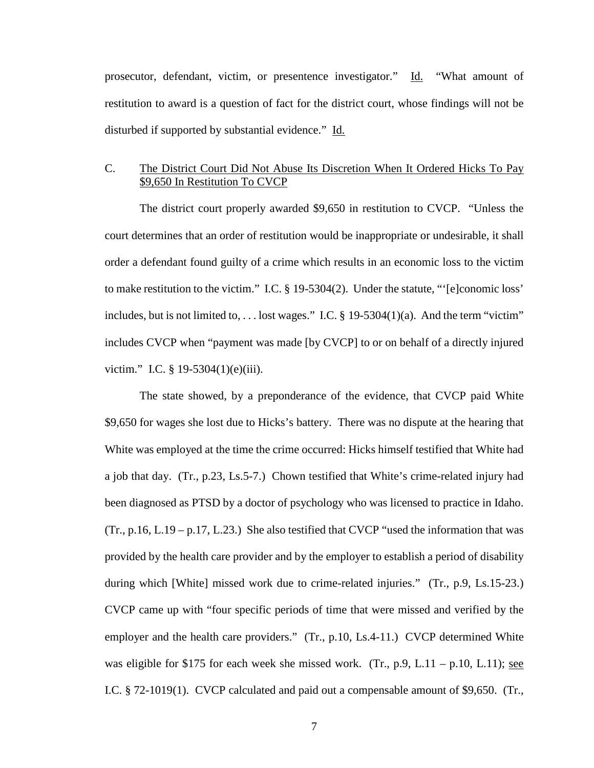prosecutor, defendant, victim, or presentence investigator." Id. "What amount of restitution to award is a question of fact for the district court, whose findings will not be disturbed if supported by substantial evidence." Id.

## C. The District Court Did Not Abuse Its Discretion When It Ordered Hicks To Pay \$9,650 In Restitution To CVCP

The district court properly awarded \$9,650 in restitution to CVCP. "Unless the court determines that an order of restitution would be inappropriate or undesirable, it shall order a defendant found guilty of a crime which results in an economic loss to the victim to make restitution to the victim." I.C. § 19-5304(2). Under the statute, "'[e]conomic loss' includes, but is not limited to, ... lost wages." I.C.  $\S$  19-5304(1)(a). And the term "victim" includes CVCP when "payment was made [by CVCP] to or on behalf of a directly injured victim." I.C. § 19-5304(1)(e)(iii).

The state showed, by a preponderance of the evidence, that CVCP paid White \$9,650 for wages she lost due to Hicks's battery. There was no dispute at the hearing that White was employed at the time the crime occurred: Hicks himself testified that White had a job that day. (Tr., p.23, Ls.5-7.) Chown testified that White's crime-related injury had been diagnosed as PTSD by a doctor of psychology who was licensed to practice in Idaho.  $(Tr., p.16, L.19 - p.17, L.23.)$  She also testified that CVCP "used the information that was provided by the health care provider and by the employer to establish a period of disability during which [White] missed work due to crime-related injuries." (Tr., p.9, Ls.15-23.) CVCP came up with "four specific periods of time that were missed and verified by the employer and the health care providers." (Tr., p.10, Ls.4-11.) CVCP determined White was eligible for \$175 for each week she missed work. (Tr., p.9, L.11 – p.10, L.11); see I.C. § 72-1019(1). CVCP calculated and paid out a compensable amount of \$9,650. (Tr.,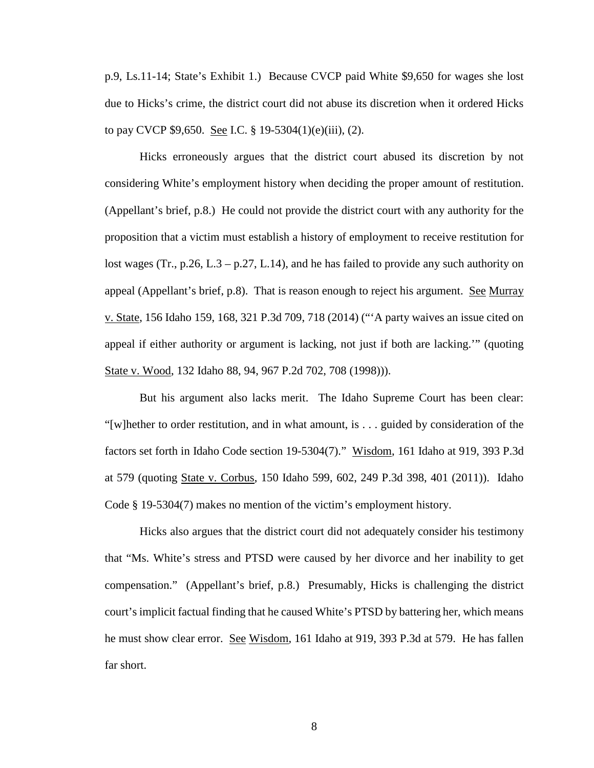p.9, Ls.11-14; State's Exhibit 1.) Because CVCP paid White \$9,650 for wages she lost due to Hicks's crime, the district court did not abuse its discretion when it ordered Hicks to pay CVCP \$9,650. See I.C. § 19-5304(1)(e)(iii), (2).

Hicks erroneously argues that the district court abused its discretion by not considering White's employment history when deciding the proper amount of restitution. (Appellant's brief, p.8.) He could not provide the district court with any authority for the proposition that a victim must establish a history of employment to receive restitution for lost wages (Tr., p.26, L.3 – p.27, L.14), and he has failed to provide any such authority on appeal (Appellant's brief, p.8). That is reason enough to reject his argument. See Murray v. State, 156 Idaho 159, 168, 321 P.3d 709, 718 (2014) ("'A party waives an issue cited on appeal if either authority or argument is lacking, not just if both are lacking.'" (quoting State v. Wood, 132 Idaho 88, 94, 967 P.2d 702, 708 (1998))).

But his argument also lacks merit. The Idaho Supreme Court has been clear: "[w]hether to order restitution, and in what amount, is . . . guided by consideration of the factors set forth in Idaho Code section 19-5304(7)." Wisdom, 161 Idaho at 919, 393 P.3d at 579 (quoting State v. Corbus, 150 Idaho 599, 602, 249 P.3d 398, 401 (2011)). Idaho Code § 19-5304(7) makes no mention of the victim's employment history.

Hicks also argues that the district court did not adequately consider his testimony that "Ms. White's stress and PTSD were caused by her divorce and her inability to get compensation." (Appellant's brief, p.8.) Presumably, Hicks is challenging the district court's implicit factual finding that he caused White's PTSD by battering her, which means he must show clear error. See Wisdom, 161 Idaho at 919, 393 P.3d at 579. He has fallen far short.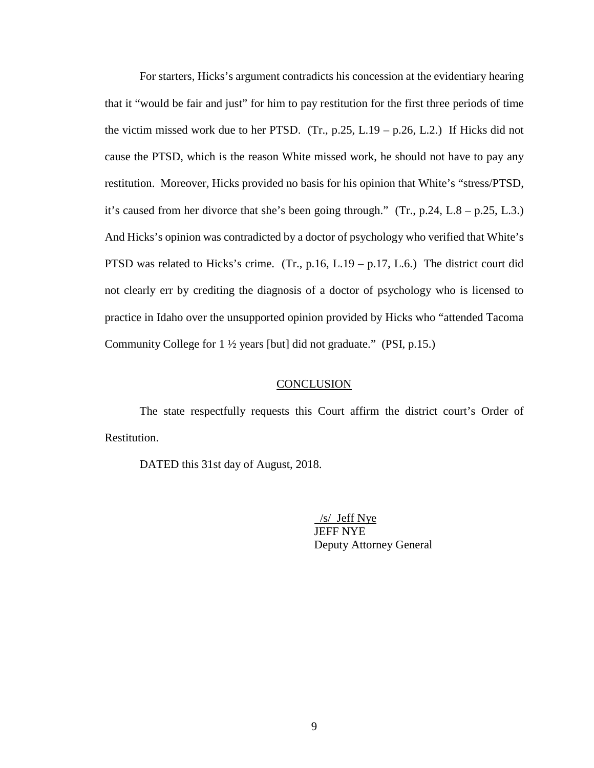For starters, Hicks's argument contradicts his concession at the evidentiary hearing that it "would be fair and just" for him to pay restitution for the first three periods of time the victim missed work due to her PTSD.  $(Tr, p.25, L.19 - p.26, L.2)$  If Hicks did not cause the PTSD, which is the reason White missed work, he should not have to pay any restitution. Moreover, Hicks provided no basis for his opinion that White's "stress/PTSD, it's caused from her divorce that she's been going through." (Tr., p.24, L.8 – p.25, L.3.) And Hicks's opinion was contradicted by a doctor of psychology who verified that White's PTSD was related to Hicks's crime. (Tr., p.16, L.19 – p.17, L.6.) The district court did not clearly err by crediting the diagnosis of a doctor of psychology who is licensed to practice in Idaho over the unsupported opinion provided by Hicks who "attended Tacoma Community College for 1 ½ years [but] did not graduate." (PSI, p.15.)

### **CONCLUSION**

The state respectfully requests this Court affirm the district court's Order of Restitution.

DATED this 31st day of August, 2018.

 /s/ Jeff Nye JEFF NYE Deputy Attorney General